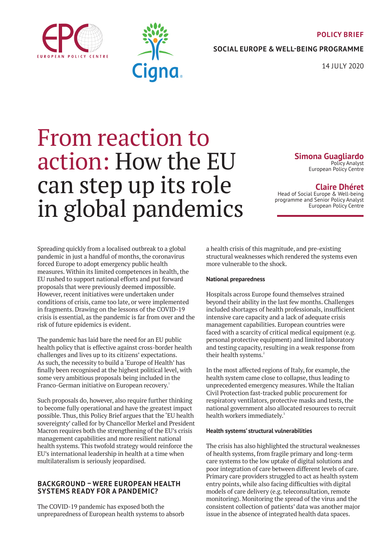#### **POLICY BRIEF**





**SOCIAL EUROPE & WELL-BEING PROGRAMME**

14 JULY 2020

# From reaction to action: How the EU can step up its role in global pandemics

**Simona Guagliardo** Policy Analyst

European Policy Centre

## **Claire Dhéret**

Head of Social Europe & Well-being programme and Senior Policy Analyst European Policy Centre

Spreading quickly from a localised outbreak to a global pandemic in just a handful of months, the coronavirus forced Europe to adopt emergency public health measures. Within its limited competences in health, the EU rushed to support national efforts and put forward proposals that were previously deemed impossible. However, recent initiatives were undertaken under conditions of crisis, came too late, or were implemented in fragments. Drawing on the lessons of the COVID-19 crisis is essential, as the pandemic is far from over and the risk of future epidemics is evident.

The pandemic has laid bare the need for an EU public health policy that is effective against cross-border health challenges and lives up to its citizens' expectations. As such, the necessity to build a 'Europe of Health' has finally been recognised at the highest political level, with some very ambitious proposals being included in the Franco-German initiative on European recovery.<sup>1</sup>

Such proposals do, however, also require further thinking to become fully operational and have the greatest impact possible. Thus, this Policy Brief argues that the 'EU health sovereignty' called for by Chancellor Merkel and President Macron requires both the strengthening of the EU's crisis management capabilities and more resilient national health systems. This twofold strategy would reinforce the EU's international leadership in health at a time when multilateralism is seriously jeopardised.

## **BACKGROUND – WERE EUROPEAN HEALTH SYSTEMS READY FOR A PANDEMIC?**

The COVID-19 pandemic has exposed both the unpreparedness of European health systems to absorb a health crisis of this magnitude, and pre-existing structural weaknesses which rendered the systems even more vulnerable to the shock.

## **National preparedness**

Hospitals across Europe found themselves strained beyond their ability in the last few months. Challenges included shortages of health professionals, insufficient intensive care capacity and a lack of adequate crisis management capabilities. European countries were faced with a scarcity of critical medical equipment (e.g. personal protective equipment) and limited laboratory and testing capacity, resulting in a weak response from their health systems.<sup>2</sup>

In the most affected regions of Italy, for example, the health system came close to collapse, thus leading to unprecedented emergency measures. While the Italian Civil Protection fast-tracked public procurement for respiratory ventilators, protective masks and tests, the national government also allocated resources to recruit health workers immediately.<sup>3</sup>

## **Health systems' structural vulnerabilities**

The crisis has also highlighted the structural weaknesses of health systems, from fragile primary and long-term care systems to the low uptake of digital solutions and poor integration of care between different levels of care. Primary care providers struggled to act as health system entry points, while also facing difficulties with digital models of care delivery (e.g. teleconsultation, remote monitoring). Monitoring the spread of the virus and the consistent collection of patients' data was another major issue in the absence of integrated health data spaces.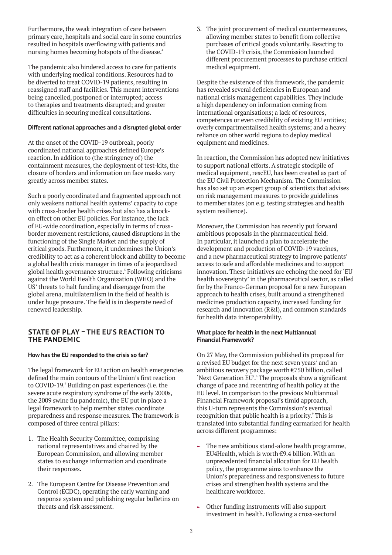Furthermore, the weak integration of care between primary care, hospitals and social care in some countries resulted in hospitals overflowing with patients and nursing homes becoming hotspots of the disease.<sup>4</sup>

The pandemic also hindered access to care for patients with underlying medical conditions. Resources had to be diverted to treat COVID-19 patients, resulting in reassigned staff and facilities. This meant interventions being cancelled, postponed or interrupted; access to therapies and treatments disrupted; and greater difficulties in securing medical consultations.

## **Different national approaches and a disrupted global order**

At the onset of the COVID-19 outbreak, poorly coordinated national approaches defined Europe's reaction. In addition to (the stringency of) the containment measures, the deployment of test-kits, the closure of borders and information on face masks vary greatly across member states.

Such a poorly coordinated and fragmented approach not only weakens national health systems' capacity to cope with cross-border health crises but also has a knockon effect on other EU policies. For instance, the lack of EU-wide coordination, especially in terms of crossborder movement restrictions, caused disruptions in the functioning of the Single Market and the supply of critical goods. Furthermore, it undermines the Union's credibility to act as a coherent block and ability to become a global health crisis manager in times of a jeopardised global health governance structure.<sup>5</sup> Following criticisms against the World Health Organization (WHO) and the US' threats to halt funding and disengage from the global arena, multilateralism in the field of health is under huge pressure. The field is in desperate need of renewed leadership.

## **STATE OF PLAY – THE EU'S REACTION TO THE PANDEMIC**

## **How has the EU responded to the crisis so far?**

The legal framework for EU action on health emergencies defined the main contours of the Union's first reaction to COVID-19.<sup>6</sup> Building on past experiences (i.e. the severe acute respiratory syndrome of the early 2000s, the 2009 swine flu pandemic), the EU put in place a legal framework to help member states coordinate preparedness and response measures. The framework is composed of three central pillars:

- 1. The Health Security Committee, comprising national representatives and chaired by the European Commission, and allowing member states to exchange information and coordinate their responses.
- 2. The European Centre for Disease Prevention and Control (ECDC), operating the early warning and response system and publishing regular bulletins on threats and risk assessment.

3. The joint procurement of medical countermeasures, allowing member states to benefit from collective purchases of critical goods voluntarily. Reacting to the COVID-19 crisis, the Commission launched different procurement processes to purchase critical medical equipment.

Despite the existence of this framework, the pandemic has revealed several deficiencies in European and national crisis management capabilities. They include a high dependency on information coming from international organisations; a lack of resources, competences or even credibility of existing EU entities; overly compartmentalised health systems; and a heavy reliance on other world regions to deploy medical equipment and medicines.

In reaction, the Commission has adopted new initiatives to support national efforts. A strategic stockpile of medical equipment, rescEU, has been created as part of the EU Civil Protection Mechanism. The Commission has also set up an expert group of scientists that advises on risk management measures to provide guidelines to member states (on e.g. testing strategies and health system resilience).

Moreover, the Commission has recently put forward ambitious proposals in the pharmaceutical field. In particular, it launched a plan to accelerate the development and production of COVID-19 vaccines, and a new pharmaceutical strategy to improve patients' access to safe and affordable medicines and to support innovation. These initiatives are echoing the need for 'EU health sovereignty' in the pharmaceutical sector, as called for by the Franco-German proposal for a new European approach to health crises, built around a strengthened medicines production capacity, increased funding for research and innovation (R&I), and common standards for health data interoperability.

## **What place for health in the next Multiannual Financial Framework?**

On 27 May, the Commission published its proposal for a revised EU budget for the next seven years<sup>7</sup> and an ambitious recovery package worth €750 billion, called 'Next Generation EU'.<sup>8</sup> The proposals show a significant change of pace and recentring of health policy at the EU level. In comparison to the previous Multiannual Financial Framework proposal's timid approach, this U-turn represents the Commission's eventual recognition that public health is a priority.<sup>9</sup> This is translated into substantial funding earmarked for health across different programmes:

- $\blacktriangleright$  The new ambitious stand-alone health programme, EU4Health, which is worth €9.4 billion. With an unprecedented financial allocation for EU health policy, the programme aims to enhance the Union's preparedness and responsiveness to future crises and strengthen health systems and the healthcare workforce.
- Other funding instruments will also support investment in health. Following a cross-sectoral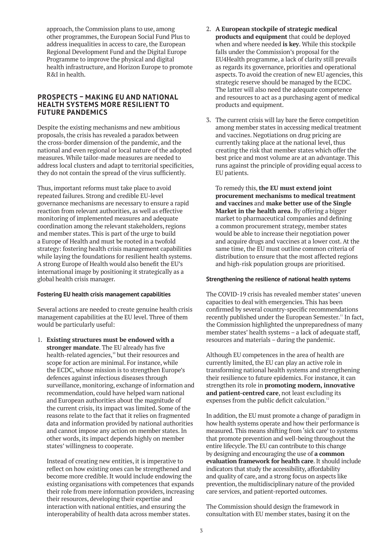approach, the Commission plans to use, among other programmes, the European Social Fund Plus to address inequalities in access to care, the European Regional Development Fund and the Digital Europe Programme to improve the physical and digital health infrastructure, and Horizon Europe to promote R&I in health.

## **PROSPECTS – MAKING EU AND NATIONAL HEALTH SYSTEMS MORE RESILIENT TO FUTURE PANDEMICS**

Despite the existing mechanisms and new ambitious proposals, the crisis has revealed a paradox between the cross-border dimension of the pandemic, and the national and even regional or local nature of the adopted measures. While tailor-made measures are needed to address local clusters and adapt to territorial specificities, they do not contain the spread of the virus sufficiently.

Thus, important reforms must take place to avoid repeated failures. Strong and credible EU-level governance mechanisms are necessary to ensure a rapid reaction from relevant authorities, as well as effective monitoring of implemented measures and adequate coordination among the relevant stakeholders, regions and member states. This is part of the urge to build a Europe of Health and must be rooted in a twofold strategy: fostering health crisis management capabilities while laying the foundations for resilient health systems. A strong Europe of Health would also benefit the EU's international image by positioning it strategically as a global health crisis manager.

## **Fostering EU health crisis management capabilities**

Several actions are needed to create genuine health crisis management capabilities at the EU level. Three of them would be particularly useful:

1. **Existing structures must be endowed with a stronger mandate**. The EU already has five health-related agencies,<sup>10</sup> but their resources and scope for action are minimal. For instance, while the ECDC, whose mission is to strengthen Europe's defences against infectious diseases through surveillance, monitoring, exchange of information and recommendation, could have helped warn national and European authorities about the magnitude of the current crisis, its impact was limited. Some of the reasons relate to the fact that it relies on fragmented data and information provided by national authorities and cannot impose any action on member states. In other words, its impact depends highly on member states' willingness to cooperate.

Instead of creating new entities, it is imperative to reflect on how existing ones can be strengthened and become more credible. It would include endowing the existing organisations with competences that expands their role from mere information providers, increasing their resources, developing their expertise and interaction with national entities, and ensuring the interoperability of health data across member states.

- 2. **A European stockpile of strategic medical products and equipment** that could be deployed when and where needed **is key**. While this stockpile falls under the Commission's proposal for the EU4Health programme, a lack of clarity still prevails as regards its governance, priorities and operational aspects. To avoid the creation of new EU agencies, this strategic reserve should be managed by the ECDC. The latter will also need the adequate competence and resources to act as a purchasing agent of medical products and equipment.
- 3. The current crisis will lay bare the fierce competition among member states in accessing medical treatment and vaccines. Negotiations on drug pricing are currently taking place at the national level, thus creating the risk that member states which offer the best price and most volume are at an advantage. This runs against the principle of providing equal access to EU patients.

To remedy this, **the EU must extend joint procurement mechanisms to medical treatment and vaccines** and **make better use of the Single Market in the health area.** By offering a bigger market to pharmaceutical companies and defining a common procurement strategy, member states would be able to increase their negotiation power and acquire drugs and vaccines at a lower cost. At the same time, the EU must outline common criteria of distribution to ensure that the most affected regions and high-risk population groups are prioritised.

## **Strengthening the resilience of national health systems**

The COVID-19 crisis has revealed member states' uneven capacities to deal with emergencies. This has been confirmed by several country-specific recommendations recently published under the European Semester.<sup>11</sup> In fact, the Commission highlighted the unpreparedness of many member states' health systems – a lack of adequate staff, resources and materials – during the pandemic.

Although EU competences in the area of health are currently limited, the EU can play an active role in transforming national health systems and strengthening their resilience to future epidemics. For instance, it can strengthen its role in **promoting modern, innovative and patient-centred care**, not least excluding its expenses from the public deficit calculation.<sup>12</sup>

In addition, the EU must promote a change of paradigm in how health systems operate and how their performance is measured. This means shifting from 'sick care' to systems that promote prevention and well-being throughout the entire lifecycle. The EU can contribute to this change by designing and encouraging the use of **a common evaluation framework for health care**. It should include indicators that study the accessibility, affordability and quality of care, and a strong focus on aspects like prevention, the multidisciplinary nature of the provided care services, and patient-reported outcomes.

The Commission should design the framework in consultation with EU member states, basing it on the